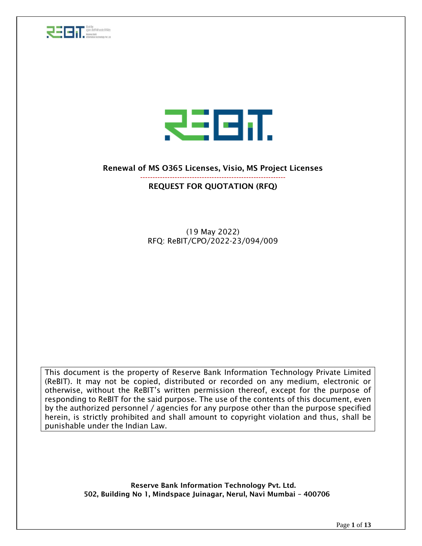



#### Renewal of MS O365 Licenses, Visio, MS Project Licenses

#### ----------------------------------------------------------- REQUEST FOR QUOTATION (RFQ)

(19 May 2022) RFQ: ReBIT/CPO/2022-23/094/009

This document is the property of Reserve Bank Information Technology Private Limited (ReBIT). It may not be copied, distributed or recorded on any medium, electronic or otherwise, without the ReBIT's written permission thereof, except for the purpose of responding to ReBIT for the said purpose. The use of the contents of this document, even by the authorized personnel / agencies for any purpose other than the purpose specified herein, is strictly prohibited and shall amount to copyright violation and thus, shall be punishable under the Indian Law.

> Reserve Bank Information Technology Pvt. Ltd. 502, Building No 1, Mindspace Juinagar, Nerul, Navi Mumbai – 400706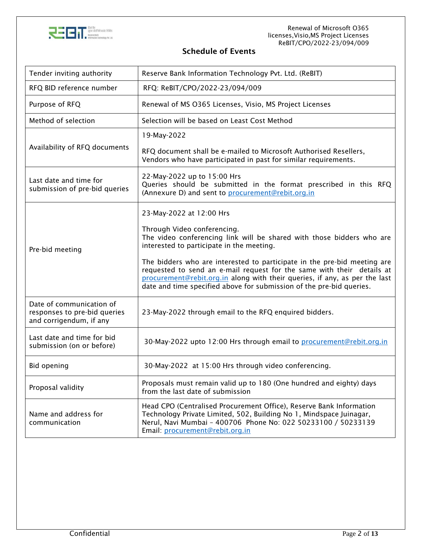

#### Schedule of Events

| Tender inviting authority                                                           | Reserve Bank Information Technology Pvt. Ltd. (ReBIT)                                                                                                                                                                                                                                                    |  |  |
|-------------------------------------------------------------------------------------|----------------------------------------------------------------------------------------------------------------------------------------------------------------------------------------------------------------------------------------------------------------------------------------------------------|--|--|
| RFQ BID reference number                                                            | RFQ: ReBIT/CPO/2022-23/094/009                                                                                                                                                                                                                                                                           |  |  |
| Purpose of RFQ                                                                      | Renewal of MS O365 Licenses, Visio, MS Project Licenses                                                                                                                                                                                                                                                  |  |  |
| Method of selection                                                                 | Selection will be based on Least Cost Method                                                                                                                                                                                                                                                             |  |  |
|                                                                                     | 19-May-2022                                                                                                                                                                                                                                                                                              |  |  |
| Availability of RFQ documents                                                       | RFQ document shall be e-mailed to Microsoft Authorised Resellers,<br>Vendors who have participated in past for similar requirements.                                                                                                                                                                     |  |  |
| Last date and time for<br>submission of pre-bid queries                             | 22-May-2022 up to 15:00 Hrs<br>Queries should be submitted in the format prescribed in this RFQ<br>(Annexure D) and sent to procurement@rebit.org.in                                                                                                                                                     |  |  |
|                                                                                     | 23-May-2022 at 12:00 Hrs                                                                                                                                                                                                                                                                                 |  |  |
| Pre-bid meeting                                                                     | Through Video conferencing.<br>The video conferencing link will be shared with those bidders who are<br>interested to participate in the meeting.                                                                                                                                                        |  |  |
|                                                                                     | The bidders who are interested to participate in the pre-bid meeting are<br>requested to send an e-mail request for the same with their details at<br>procurement@rebit.org.in along with their queries, if any, as per the last<br>date and time specified above for submission of the pre-bid queries. |  |  |
| Date of communication of<br>responses to pre-bid queries<br>and corrigendum, if any | 23-May-2022 through email to the RFQ enquired bidders.                                                                                                                                                                                                                                                   |  |  |
| Last date and time for bid<br>submission (on or before)                             | 30-May-2022 upto 12:00 Hrs through email to procurement@rebit.org.in                                                                                                                                                                                                                                     |  |  |
| <b>Bid opening</b>                                                                  | 30-May-2022 at 15:00 Hrs through video conferencing.                                                                                                                                                                                                                                                     |  |  |
| Proposal validity                                                                   | Proposals must remain valid up to 180 (One hundred and eighty) days<br>from the last date of submission                                                                                                                                                                                                  |  |  |
| Name and address for<br>communication                                               | Head CPO (Centralised Procurement Office), Reserve Bank Information<br>Technology Private Limited, 502, Building No 1, Mindspace Juinagar,<br>Nerul, Navi Mumbai - 400706 Phone No: 022 50233100 / 50233139<br>Email: procurement@rebit.org.in                                                           |  |  |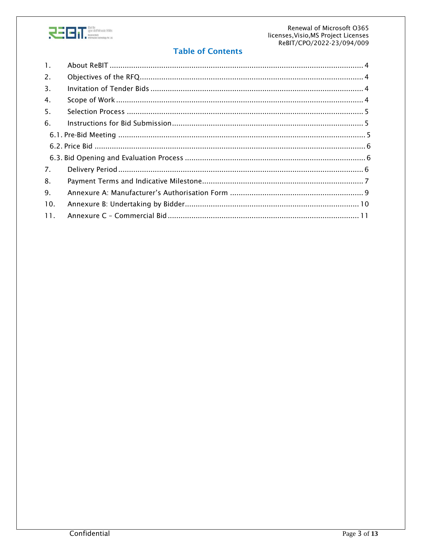

#### **Table of Contents**

| $\mathbf{1}$ . |  |
|----------------|--|
| 2.             |  |
| 3.             |  |
| 4.             |  |
| 5.             |  |
| 6.             |  |
|                |  |
|                |  |
|                |  |
| 7.             |  |
| 8.             |  |
| 9.             |  |
| 10.            |  |
| 11.            |  |
|                |  |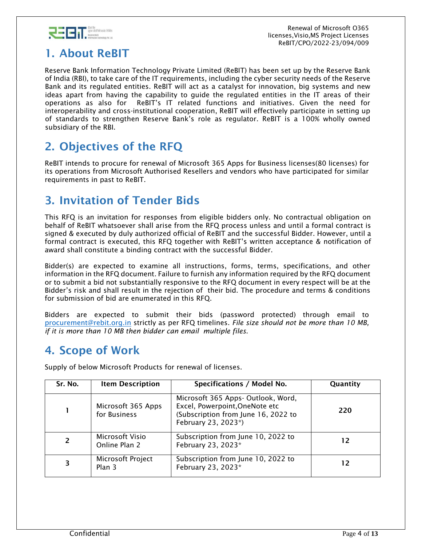

 Renewal of Microsoft O365 licenses,Visio,MS Project Licenses ReBIT/CPO/2022-23/094/009

# <span id="page-3-0"></span>1. About ReBIT

Reserve Bank Information Technology Private Limited (ReBIT) has been set up by the Reserve Bank of India (RBI), to take care of the IT requirements, including the cyber security needs of the Reserve Bank and its regulated entities. ReBIT will act as a catalyst for innovation, big systems and new ideas apart from having the capability to guide the regulated entities in the IT areas of their operations as also for ReBIT's IT related functions and initiatives. Given the need for interoperability and cross-institutional cooperation, ReBIT will effectively participate in setting up of standards to strengthen Reserve Bank's role as regulator. ReBIT is a 100% wholly owned subsidiary of the RBI.

## <span id="page-3-1"></span>2. Objectives of the RFQ

ReBIT intends to procure for renewal of Microsoft 365 Apps for Business licenses(80 licenses) for its operations from Microsoft Authorised Resellers and vendors who have participated for similar requirements in past to ReBIT.

## <span id="page-3-2"></span>3. Invitation of Tender Bids

This RFQ is an invitation for responses from eligible bidders only. No contractual obligation on behalf of ReBIT whatsoever shall arise from the RFQ process unless and until a formal contract is signed & executed by duly authorized official of ReBIT and the successful Bidder. However, until a formal contract is executed, this RFQ together with ReBIT's written acceptance & notification of award shall constitute a binding contract with the successful Bidder.

Bidder(s) are expected to examine all instructions, forms, terms, specifications, and other information in the RFQ document. Failure to furnish any information required by the RFQ document or to submit a bid not substantially responsive to the RFQ document in every respect will be at the Bidder's risk and shall result in the rejection of their bid. The procedure and terms & conditions for submission of bid are enumerated in this RFQ.

Bidders are expected to submit their bids (password protected) through email to [procurement@rebit.org.in](mailto:procurement@rebit.org.in) strictly as per RFQ timelines. *File size should not be more than 10 MB, if it is more than 10 MB then bidder can email multiple files*.

#### <span id="page-3-3"></span>4. Scope of Work

Supply of below Microsoft Products for renewal of licenses.

| Sr. No. | <b>Item Description</b>            | Specifications / Model No.                                                                                                         | Quantity |
|---------|------------------------------------|------------------------------------------------------------------------------------------------------------------------------------|----------|
|         | Microsoft 365 Apps<br>for Business | Microsoft 365 Apps- Outlook, Word,<br>Excel, Powerpoint, OneNote etc<br>(Subscription from June 16, 2022 to<br>February 23, 2023*) | 220      |
|         | Microsoft Visio<br>Online Plan 2   | Subscription from June 10, 2022 to<br>February 23, 2023*                                                                           | 12       |
| 3       | Microsoft Project<br>Plan 3        | Subscription from June 10, 2022 to<br>February 23, 2023*                                                                           | 12       |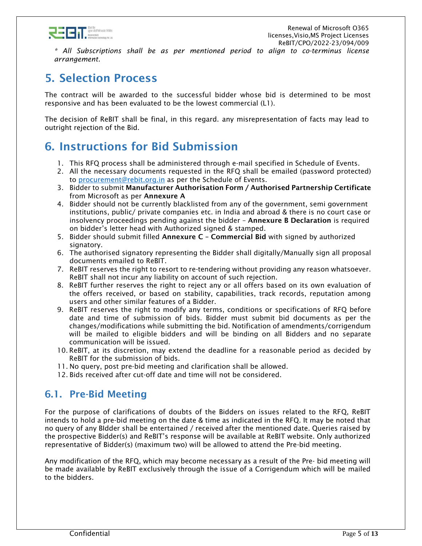

*\* All Subscriptions shall be as per mentioned period to align to co-terminus license arrangement.*

## <span id="page-4-0"></span>5. Selection Process

The contract will be awarded to the successful bidder whose bid is determined to be most responsive and has been evaluated to be the lowest commercial (L1).

The decision of ReBIT shall be final, in this regard. any misrepresentation of facts may lead to outright rejection of the Bid.

## <span id="page-4-1"></span>6. Instructions for Bid Submission

- 1. This RFQ process shall be administered through e-mail specified in Schedule of Events.
- 2. All the necessary documents requested in the RFQ shall be emailed (password protected) to [procurement@rebit.org.in](mailto:procurement@rebit.org.in) as per the Schedule of Events.
- 3. Bidder to submit Manufacturer Authorisation Form / Authorised Partnership Certificate from Microsoft as per Annexure A
- 4. Bidder should not be currently blacklisted from any of the government, semi government institutions, public/ private companies etc. in India and abroad & there is no court case or insolvency proceedings pending against the bidder – Annexure B Declaration is required on bidder's letter head with Authorized signed & stamped.
- 5. Bidder should submit filled Annexure C Commercial Bid with signed by authorized signatory.
- 6. The authorised signatory representing the Bidder shall digitally/Manually sign all proposal documents emailed to ReBIT.
- 7. ReBIT reserves the right to resort to re-tendering without providing any reason whatsoever. ReBIT shall not incur any liability on account of such rejection.
- 8. ReBIT further reserves the right to reject any or all offers based on its own evaluation of the offers received, or based on stability, capabilities, track records, reputation among users and other similar features of a Bidder.
- 9. ReBIT reserves the right to modify any terms, conditions or specifications of RFQ before date and time of submission of bids. Bidder must submit bid documents as per the changes/modifications while submitting the bid. Notification of amendments/corrigendum will be mailed to eligible bidders and will be binding on all Bidders and no separate communication will be issued.
- 10. ReBIT, at its discretion, may extend the deadline for a reasonable period as decided by ReBIT for the submission of bids.
- 11. No query, post pre-bid meeting and clarification shall be allowed.
- 12. Bids received after cut-off date and time will not be considered.

#### <span id="page-4-2"></span>6.1. Pre-Bid Meeting

For the purpose of clarifications of doubts of the Bidders on issues related to the RFQ, ReBIT intends to hold a pre-bid meeting on the date & time as indicated in the RFQ. It may be noted that no query of any BIdder shall be entertained / received after the mentioned date. Queries raised by the prospective Bidder(s) and ReBIT's response will be available at ReBIT website. Only authorized representative of Bidder(s) (maximum two) will be allowed to attend the Pre-bid meeting.

Any modification of the RFQ, which may become necessary as a result of the Pre- bid meeting will be made available by ReBIT exclusively through the issue of a Corrigendum which will be mailed to the bidders.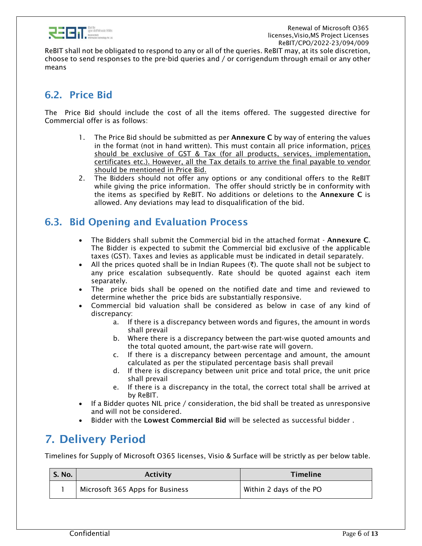

ReBIT shall not be obligated to respond to any or all of the queries. ReBIT may, at its sole discretion, choose to send responses to the pre-bid queries and / or corrigendum through email or any other means

#### <span id="page-5-0"></span>6.2. Price Bid

The Price Bid should include the cost of all the items offered. The suggested directive for Commercial offer is as follows:

- 1. The Price Bid should be submitted as per **Annexure C** by way of entering the values in the format (not in hand written). This must contain all price information, prices should be exclusive of GST & Tax (for all products, services, implementation, certificates etc.). However, all the Tax details to arrive the final payable to vendor should be mentioned in Price Bid.
- 2. The Bidders should not offer any options or any conditional offers to the ReBIT while giving the price information. The offer should strictly be in conformity with the items as specified by ReBIT. No additions or deletions to the Annexure C is allowed. Any deviations may lead to disqualification of the bid.

#### <span id="page-5-1"></span>6.3. Bid Opening and Evaluation Process

- The Bidders shall submit the Commercial bid in the attached format Annexure C. The Bidder is expected to submit the Commercial bid exclusive of the applicable taxes (GST). Taxes and levies as applicable must be indicated in detail separately.
- All the prices quoted shall be in Indian Rupees  $(\vec{z})$ . The quote shall not be subject to any price escalation subsequently. Rate should be quoted against each item separately.
- The price bids shall be opened on the notified date and time and reviewed to determine whether the price bids are substantially responsive.
- Commercial bid valuation shall be considered as below in case of any kind of discrepancy:
	- a. If there is a discrepancy between words and figures, the amount in words shall prevail
	- b. Where there is a discrepancy between the part‐wise quoted amounts and the total quoted amount, the part‐wise rate will govern.
	- c. If there is a discrepancy between percentage and amount, the amount calculated as per the stipulated percentage basis shall prevail
	- d. If there is discrepancy between unit price and total price, the unit price shall prevail
	- e. If there is a discrepancy in the total, the correct total shall be arrived at by ReBIT.
- If a Bidder quotes NIL price  $/$  consideration, the bid shall be treated as unresponsive and will not be considered.
- Bidder with the Lowest Commercial Bid will be selected as successful bidder.

## <span id="page-5-2"></span>7. Delivery Period

Timelines for Supply of Microsoft O365 licenses, Visio & Surface will be strictly as per below table.

| S. No. | <b>Activity</b>                 | Timeline                |
|--------|---------------------------------|-------------------------|
|        | Microsoft 365 Apps for Business | Within 2 days of the PO |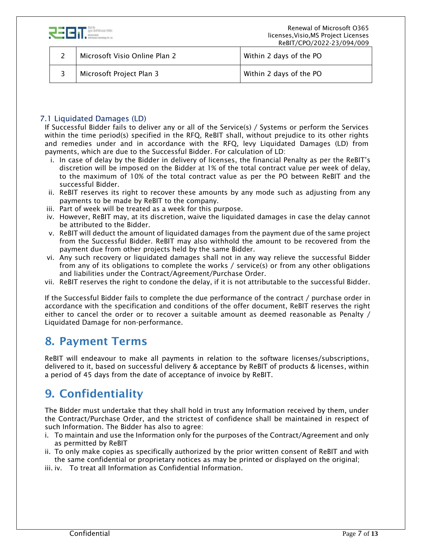

| Microsoft Visio Online Plan 2 | Within 2 days of the PO |
|-------------------------------|-------------------------|
| Microsoft Project Plan 3      | Within 2 days of the PO |

#### 7.1 Liquidated Damages (LD)

If Successful Bidder fails to deliver any or all of the Service(s) / Systems or perform the Services within the time period(s) specified in the RFQ, ReBIT shall, without prejudice to its other rights and remedies under and in accordance with the RFQ, levy Liquidated Damages (LD) from payments, which are due to the Successful Bidder. For calculation of LD:

- i. In case of delay by the Bidder in delivery of licenses, the financial Penalty as per the ReBIT's discretion will be imposed on the Bidder at 1% of the total contract value per week of delay, to the maximum of 10% of the total contract value as per the PO between ReBIT and the successful Bidder.
- ii. ReBIT reserves its right to recover these amounts by any mode such as adjusting from any payments to be made by ReBIT to the company.
- iii. Part of week will be treated as a week for this purpose.
- iv. However, ReBIT may, at its discretion, waive the liquidated damages in case the delay cannot be attributed to the Bidder.
- v. ReBIT will deduct the amount of liquidated damages from the payment due of the same project from the Successful Bidder. ReBIT may also withhold the amount to be recovered from the payment due from other projects held by the same Bidder.
- vi. Any such recovery or liquidated damages shall not in any way relieve the successful Bidder from any of its obligations to complete the works / service(s) or from any other obligations and liabilities under the Contract/Agreement/Purchase Order.
- vii. ReBIT reserves the right to condone the delay, if it is not attributable to the successful Bidder.

If the Successful Bidder fails to complete the due performance of the contract / purchase order in accordance with the specification and conditions of the offer document, ReBIT reserves the right either to cancel the order or to recover a suitable amount as deemed reasonable as Penalty / Liquidated Damage for non-performance.

#### <span id="page-6-0"></span>8. Payment Terms

ReBIT will endeavour to make all payments in relation to the software licenses/subscriptions, delivered to it, based on successful delivery & acceptance by ReBIT of products & licenses, within a period of 45 days from the date of acceptance of invoice by ReBIT.

## 9. Confidentiality

The Bidder must undertake that they shall hold in trust any Information received by them, under the Contract/Purchase Order, and the strictest of confidence shall be maintained in respect of such Information. The Bidder has also to agree:

- i. To maintain and use the Information only for the purposes of the Contract/Agreement and only as permitted by ReBIT
- ii. To only make copies as specifically authorized by the prior written consent of ReBIT and with the same confidential or proprietary notices as may be printed or displayed on the original;
- iii. iv. To treat all Information as Confidential Information.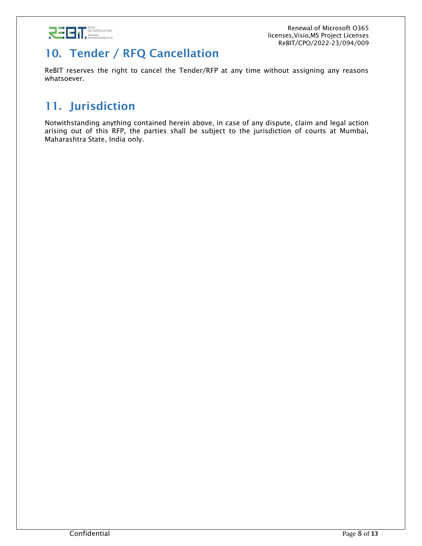

## 10. Tender / RFQ Cancellation

ReBIT reserves the right to cancel the Tender/RFP at any time without assigning any reasons whatsoever.

# 11. Jurisdiction

Notwithstanding anything contained herein above, in case of any dispute, claim and legal action arising out of this RFP, the parties shall be subject to the jurisdiction of courts at Mumbai, Maharashtra State, India only.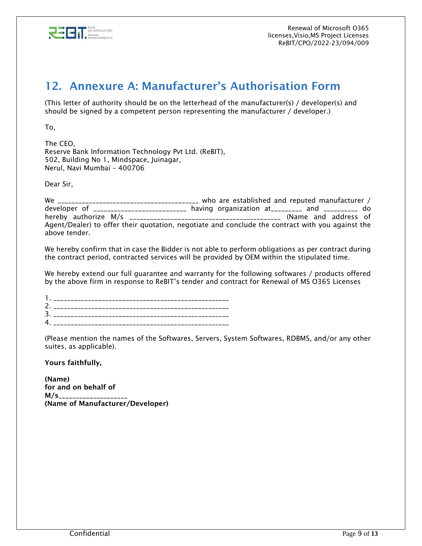

#### <span id="page-8-0"></span>12. Annexure A: Manufacturer's Authorisation Form

(This letter of authority should be on the letterhead of the manufacturer(s) / developer(s) and should be signed by a competent person representing the manufacturer / developer.)

To,

The CEO, Reserve Bank Information Technology Pvt Ltd. (ReBIT), 502, Building No 1, Mindspace, Juinagar, Nerul, Navi Mumbai – 400706

Dear Sir,

We \_\_\_\_\_\_\_\_\_\_\_\_\_\_\_\_\_\_\_\_\_\_\_\_\_\_\_\_\_\_\_\_\_\_\_\_\_\_\_\_\_ who are established and reputed manufacturer / developer of \_\_\_\_\_\_\_\_\_\_\_\_\_\_\_\_\_\_\_\_\_\_\_\_ having organization at\_\_\_\_\_\_\_\_\_ and \_\_\_\_\_\_\_\_\_\_ do hereby authorize M/s \_\_\_\_\_\_\_\_\_\_\_\_\_\_\_\_\_\_\_\_\_\_\_\_\_\_\_\_\_\_\_\_\_\_\_\_\_\_\_\_\_\_\_\_ (Name and address of Agent/Dealer) to offer their quotation, negotiate and conclude the contract with you against the above tender.

We hereby confirm that in case the Bidder is not able to perform obligations as per contract during the contract period, contracted services will be provided by OEM within the stipulated time.

We hereby extend our full guarantee and warranty for the following softwares / products offered by the above firm in response to ReBIT's tender and contract for Renewal of MS O365 Licenses

1. \_\_\_\_\_\_\_\_\_\_\_\_\_\_\_\_\_\_\_\_\_\_\_\_\_\_\_\_\_\_\_\_\_\_\_\_\_\_\_\_\_\_\_\_\_\_\_\_\_\_\_ 2. \_\_\_\_\_\_\_\_\_\_\_\_\_\_\_\_\_\_\_\_\_\_\_\_\_\_\_\_\_\_\_\_\_\_\_\_\_\_\_\_\_\_\_\_\_\_\_\_\_\_\_ 3. \_\_\_\_\_\_\_\_\_\_\_\_\_\_\_\_\_\_\_\_\_\_\_\_\_\_\_\_\_\_\_\_\_\_\_\_\_\_\_\_\_\_\_\_\_\_\_\_\_\_\_  $4.$ 

(Please mention the names of the Softwares, Servers, System Softwares, RDBMS, and/or any other suites, as applicable).

Yours faithfully,

(Name) for and on behalf of M/s\_\_\_\_\_\_\_\_\_\_\_\_\_\_\_\_\_\_\_\_ (Name of Manufacturer/Developer)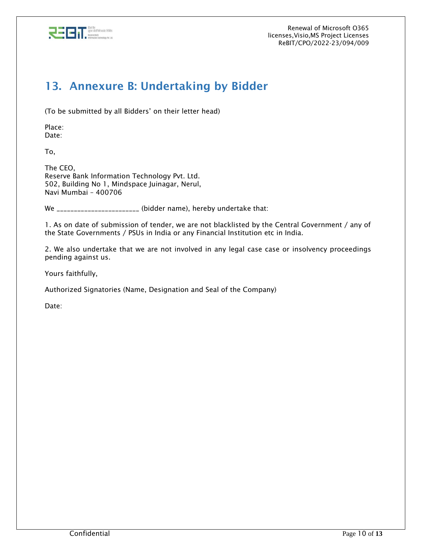

## <span id="page-9-0"></span>13. Annexure B: Undertaking by Bidder

(To be submitted by all Bidders' on their letter head)

Place: Date:

To,

The CEO, Reserve Bank Information Technology Pvt. Ltd. 502, Building No 1, Mindspace Juinagar, Nerul, Navi Mumbai – 400706

We \_\_\_\_\_\_\_\_\_\_\_\_\_\_\_\_\_\_\_\_\_\_\_ (bidder name), hereby undertake that:

1. As on date of submission of tender, we are not blacklisted by the Central Government / any of the State Governments / PSUs in India or any Financial Institution etc in India.

2. We also undertake that we are not involved in any legal case case or insolvency proceedings pending against us.

Yours faithfully,

Authorized Signatories (Name, Designation and Seal of the Company)

Date: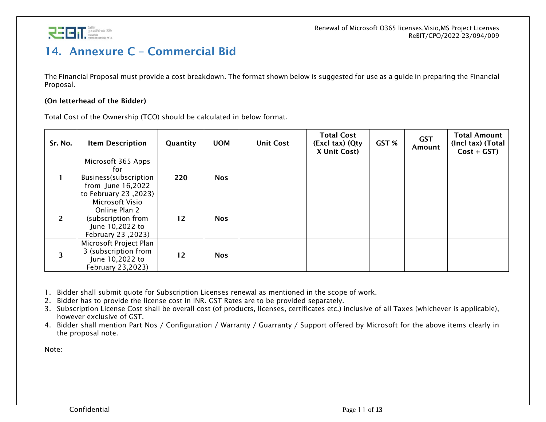

## 14. Annexure C – Commercial Bid

The Financial Proposal must provide a cost breakdown. The format shown below is suggested for use as a guide in preparing the Financial Proposal.

#### (On letterhead of the Bidder)

Total Cost of the Ownership (TCO) should be calculated in below format.

<span id="page-10-0"></span>

| Sr. No.                 | <b>Item Description</b>                                                                          | Quantity | <b>UOM</b> | <b>Unit Cost</b> | <b>Total Cost</b><br>(Excl tax) (Qty<br>X Unit Cost) | GST % | <b>GST</b><br>Amount | <b>Total Amount</b><br>(Incl tax) (Total<br>$Cost + GST$ |
|-------------------------|--------------------------------------------------------------------------------------------------|----------|------------|------------------|------------------------------------------------------|-------|----------------------|----------------------------------------------------------|
|                         | Microsoft 365 Apps<br>for<br>Business(subscription<br>from June 16,2022<br>to February 23, 2023) | 220      | <b>Nos</b> |                  |                                                      |       |                      |                                                          |
| $\overline{2}$          | Microsoft Visio<br>Online Plan 2<br>(subscription from<br>June 10,2022 to<br>February 23, 2023)  | 12       | <b>Nos</b> |                  |                                                      |       |                      |                                                          |
| $\overline{\mathbf{3}}$ | Microsoft Project Plan<br>3 (subscription from<br>June 10,2022 to<br>February 23,2023)           | 12       | <b>Nos</b> |                  |                                                      |       |                      |                                                          |

1. Bidder shall submit quote for Subscription Licenses renewal as mentioned in the scope of work.

2. Bidder has to provide the license cost in INR. GST Rates are to be provided separately.

3. Subscription License Cost shall be overall cost (of products, licenses, certificates etc.) inclusive of all Taxes (whichever is applicable), however exclusive of GST.

4. Bidder shall mention Part Nos / Configuration / Warranty / Guarranty / Support offered by Microsoft for the above items clearly in the proposal note.

Note: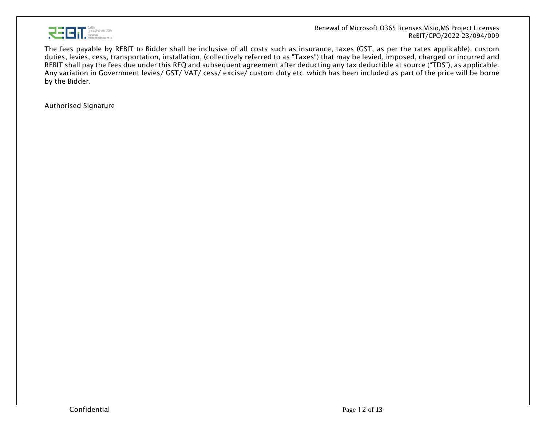

 Renewal of Microsoft O365 licenses,Visio,MS Project Licenses ReBIT/CPO/2022-23/094/009

The fees payable by REBIT to Bidder shall be inclusive of all costs such as insurance, taxes (GST, as per the rates applicable), custom duties, levies, cess, transportation, installation, (collectively referred to as "Taxes") that may be levied, imposed, charged or incurred and REBIT shall pay the fees due under this RFQ and subsequent agreement after deducting any tax deductible at source ("TDS"), as applicable. Any variation in Government levies/ GST/ VAT/ cess/ excise/ custom duty etc. which has been included as part of the price will be borne by the Bidder.

Authorised Signature